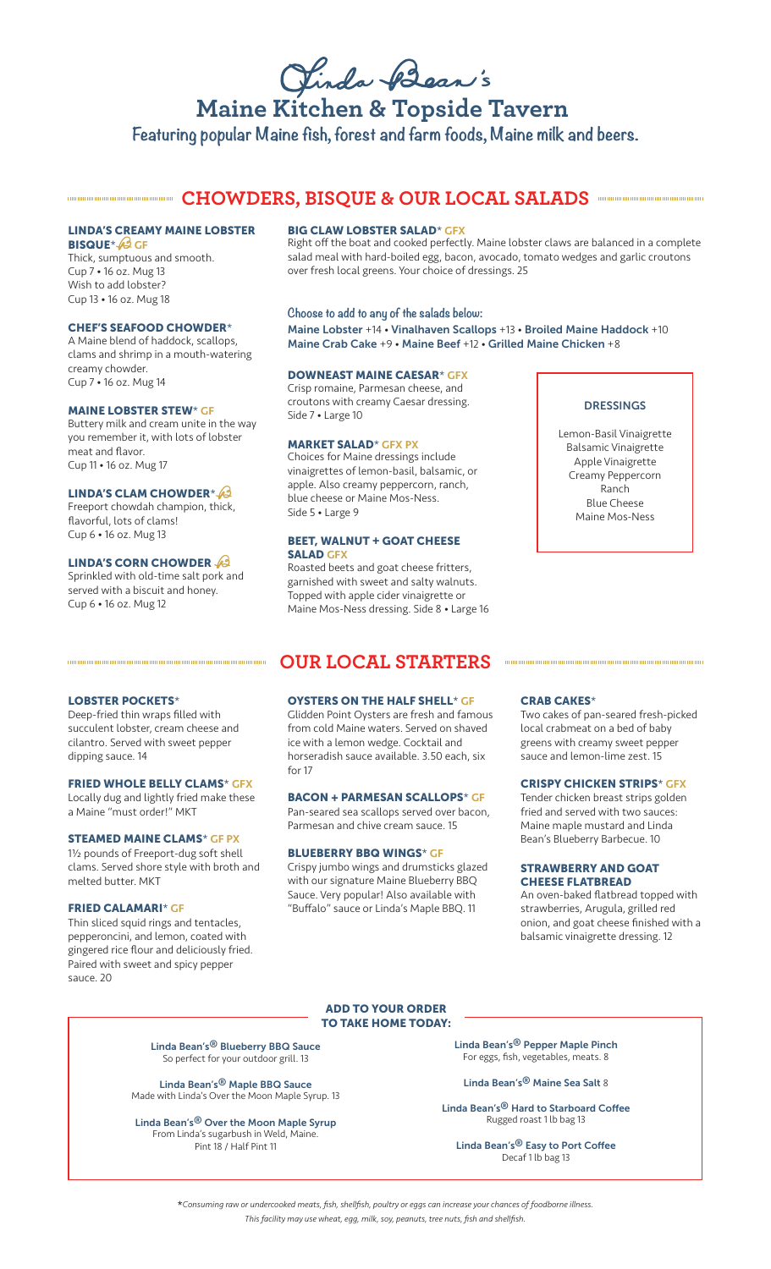Jinda Bean's

# **Maine Kitchen & Topside Tavern Featuring popular Maine fish, forest and farm foods, Maine milk and beers.**

# **CHOWDERS, BISQUE & OUR LOCAL SALADS AND RESERVE ASSESS**

# LINDA'S CREAMY MAINE LOBSTER

**BISQUE**\* 6 GF Thick, sumptuous and smooth. Cup 7 • 16 oz. Mug 13 Wish to add lobster? Cup 13 • 16 oz. Mug 18

#### CHEF'S SEAFOOD CHOWDER\*

A Maine blend of haddock, scallops, clams and shrimp in a mouth-watering creamy chowder. Cup 7 • 16 oz. Mug 14

#### MAINE LOBSTER STEW\* GF

Buttery milk and cream unite in the way you remember it, with lots of lobster meat and flavor. Cup 11 • 16 oz. Mug 17

#### LINDA'S CLAM CHOWDER\*

Freeport chowdah champion, thick, flavorful, lots of clams! Cup 6 • 16 oz. Mug 13

#### LINDA'S CORN CHOWDER

Sprinkled with old-time salt pork and served with a biscuit and honey. Cup 6 • 16 oz. Mug 12

LOBSTER POCKETS\*

a Maine "must order!" MKT

dipping sauce. 14

melted butter. MKT

sauce. 20

FRIED CALAMARI\* GF

Deep-fried thin wraps filled with succulent lobster, cream cheese and cilantro. Served with sweet pepper

FRIED WHOLE BELLY CLAMS\* GFX Locally dug and lightly fried make these

STEAMED MAINE CLAMS\* GF PX 1½ pounds of Freeport-dug soft shell clams. Served shore style with broth and

Thin sliced squid rings and tentacles, pepperoncini, and lemon, coated with gingered rice flour and deliciously fried. Paired with sweet and spicy pepper

#### **BIG CLAW LOBSTER SALAD\* GFX**

Right off the boat and cooked perfectly. Maine lobster claws are balanced in a complete salad meal with hard-boiled egg, bacon, avocado, tomato wedges and garlic croutons over fresh local greens. Your choice of dressings. 25

#### **Choose to add to any of the salads below:**

Maine Lobster +14 • Vinalhaven Scallops +13 • Broiled Maine Haddock +10 Maine Crab Cake +9 • Maine Beef +12 • Grilled Maine Chicken +8

#### DOWNEAST MAINE CAESAR\* GFX

Crisp romaine, Parmesan cheese, and croutons with creamy Caesar dressing. Side 7 • Large 10

#### MARKET SALAD\* GFX PX

Choices for Maine dressings include vinaigrettes of lemon-basil, balsamic, or apple. Also creamy peppercorn, ranch, blue cheese or Maine Mos-Ness. Side 5 • Large 9

#### **BEET, WALNUT + GOAT CHEESE** SALAD GFX

Roasted beets and goat cheese fritters, garnished with sweet and salty walnuts. Topped with apple cider vinaigrette or Maine Mos-Ness dressing. Side 8 • Large 16

#### DRESSINGS

Lemon-Basil Vinaigrette Balsamic Vinaigrette Apple Vinaigrette Creamy Peppercorn Ranch Blue Cheese Maine Mos-Ness

### OYSTERS ON THE HALF SHELL\* GF

**OUR LOCAL STARTERS** 

Glidden Point Oysters are fresh and famous from cold Maine waters. Served on shaved ice with a lemon wedge. Cocktail and horseradish sauce available. 3.50 each, six for 17

#### BACON + PARMESAN SCALLOPS\* GF

Pan-seared sea scallops served over bacon, Parmesan and chive cream sauce. 15

#### BLUEBERRY BBQ WINGS\* GF

Crispy jumbo wings and drumsticks glazed with our signature Maine Blueberry BBQ Sauce. Very popular! Also available with "Buffalo" sauce or Linda's Maple BBQ. 11

#### CRAB CAKES\*

Two cakes of pan-seared fresh-picked local crabmeat on a bed of baby greens with creamy sweet pepper sauce and lemon-lime zest. 15

#### CRISPY CHICKEN STRIPS\* GFX

Tender chicken breast strips golden fried and served with two sauces: Maine maple mustard and Linda Bean's Blueberry Barbecue. 10

#### STRAWBERRY AND GOAT CHEESE FLATBREAD

An oven-baked flatbread topped with strawberries, Arugula, grilled red onion, and goat cheese finished with a balsamic vinaigrette dressing. 12

#### ADD TO YOUR ORDER TO TAKE HOME TODAY:

Linda Bean's® Blueberry BBQ Sauce So perfect for your outdoor grill. 13

Linda Bean's® Maple BBQ Sauce Made with Linda's Over the Moon Maple Syrup. 13

Linda Bean's® Over the Moon Maple Syrup From Linda's sugarbush in Weld, Maine. Pint 18 / Half Pint 11

Linda Bean's® Pepper Maple Pinch For eggs, fish, vegetables, meats. 8

Linda Bean's® Maine Sea Salt 8

Linda Bean's® Hard to Starboard Coffee Rugged roast 1 lb bag 13

Linda Bean's® Easy to Port Coffee Decaf 1 lb bag 13

\**Consuming raw or undercooked meats, fish, shellfish, poultry or eggs can increase your chances of foodborne illness. This facility may use wheat, egg, milk, soy, peanuts, tree nuts, fish and shellfish.*